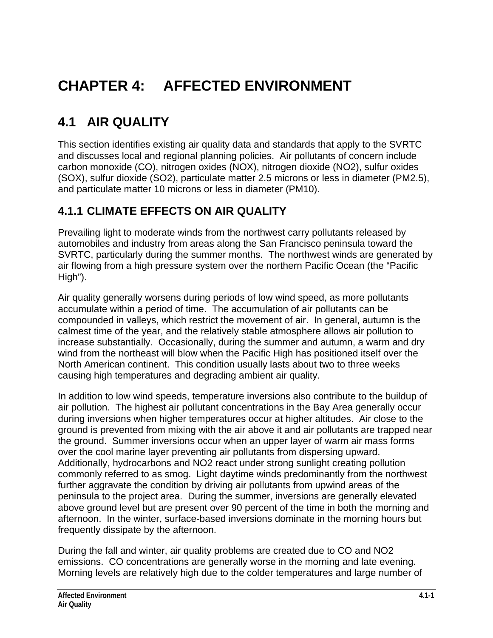# **4.1 AIR QUALITY**

This section identifies existing air quality data and standards that apply to the SVRTC and discusses local and regional planning policies. Air pollutants of concern include carbon monoxide (CO), nitrogen oxides (NOX), nitrogen dioxide (NO2), sulfur oxides (SOX), sulfur dioxide (SO2), particulate matter 2.5 microns or less in diameter (PM2.5), and particulate matter 10 microns or less in diameter (PM10).

# **4.1.1 CLIMATE EFFECTS ON AIR QUALITY**

Prevailing light to moderate winds from the northwest carry pollutants released by automobiles and industry from areas along the San Francisco peninsula toward the SVRTC, particularly during the summer months. The northwest winds are generated by air flowing from a high pressure system over the northern Pacific Ocean (the "Pacific High").

Air quality generally worsens during periods of low wind speed, as more pollutants accumulate within a period of time. The accumulation of air pollutants can be compounded in valleys, which restrict the movement of air. In general, autumn is the calmest time of the year, and the relatively stable atmosphere allows air pollution to increase substantially. Occasionally, during the summer and autumn, a warm and dry wind from the northeast will blow when the Pacific High has positioned itself over the North American continent. This condition usually lasts about two to three weeks causing high temperatures and degrading ambient air quality.

In addition to low wind speeds, temperature inversions also contribute to the buildup of air pollution. The highest air pollutant concentrations in the Bay Area generally occur during inversions when higher temperatures occur at higher altitudes. Air close to the ground is prevented from mixing with the air above it and air pollutants are trapped near the ground. Summer inversions occur when an upper layer of warm air mass forms over the cool marine layer preventing air pollutants from dispersing upward. Additionally, hydrocarbons and NO2 react under strong sunlight creating pollution commonly referred to as smog. Light daytime winds predominantly from the northwest further aggravate the condition by driving air pollutants from upwind areas of the peninsula to the project area. During the summer, inversions are generally elevated above ground level but are present over 90 percent of the time in both the morning and afternoon. In the winter, surface-based inversions dominate in the morning hours but frequently dissipate by the afternoon.

During the fall and winter, air quality problems are created due to CO and NO2 emissions. CO concentrations are generally worse in the morning and late evening. Morning levels are relatively high due to the colder temperatures and large number of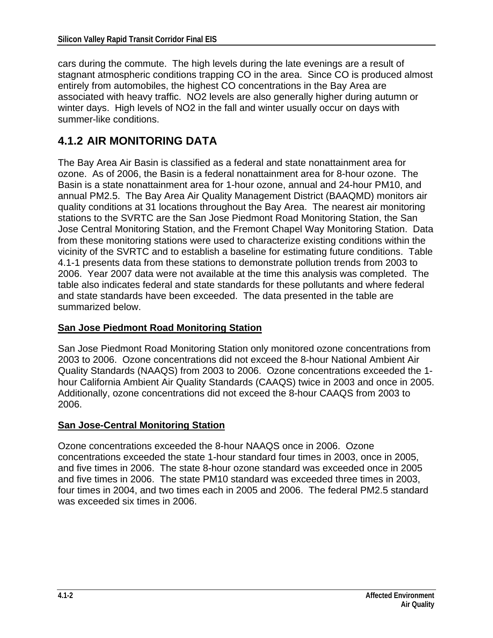cars during the commute. The high levels during the late evenings are a result of stagnant atmospheric conditions trapping CO in the area. Since CO is produced almost entirely from automobiles, the highest CO concentrations in the Bay Area are associated with heavy traffic. NO2 levels are also generally higher during autumn or winter days. High levels of NO2 in the fall and winter usually occur on days with summer-like conditions.

### **4.1.2 AIR MONITORING DATA**

The Bay Area Air Basin is classified as a federal and state nonattainment area for ozone. As of 2006, the Basin is a federal nonattainment area for 8-hour ozone. The Basin is a state nonattainment area for 1-hour ozone, annual and 24-hour PM10, and annual PM2.5. The Bay Area Air Quality Management District (BAAQMD) monitors air quality conditions at 31 locations throughout the Bay Area. The nearest air monitoring stations to the SVRTC are the San Jose Piedmont Road Monitoring Station, the San Jose Central Monitoring Station, and the Fremont Chapel Way Monitoring Station. Data from these monitoring stations were used to characterize existing conditions within the vicinity of the SVRTC and to establish a baseline for estimating future conditions. Table 4.1-1 presents data from these stations to demonstrate pollution trends from 2003 to 2006. Year 2007 data were not available at the time this analysis was completed. The table also indicates federal and state standards for these pollutants and where federal and state standards have been exceeded. The data presented in the table are summarized below.

#### **San Jose Piedmont Road Monitoring Station**

San Jose Piedmont Road Monitoring Station only monitored ozone concentrations from 2003 to 2006. Ozone concentrations did not exceed the 8-hour National Ambient Air Quality Standards (NAAQS) from 2003 to 2006. Ozone concentrations exceeded the 1 hour California Ambient Air Quality Standards (CAAQS) twice in 2003 and once in 2005. Additionally, ozone concentrations did not exceed the 8-hour CAAQS from 2003 to 2006.

#### **San Jose-Central Monitoring Station**

Ozone concentrations exceeded the 8-hour NAAQS once in 2006. Ozone concentrations exceeded the state 1-hour standard four times in 2003, once in 2005, and five times in 2006. The state 8-hour ozone standard was exceeded once in 2005 and five times in 2006. The state PM10 standard was exceeded three times in 2003, four times in 2004, and two times each in 2005 and 2006. The federal PM2.5 standard was exceeded six times in 2006.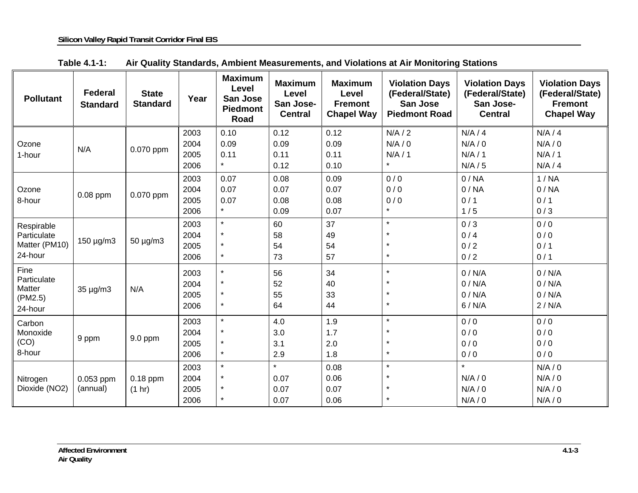| <b>Pollutant</b>                                                        | <b>Federal</b><br><b>Standard</b> | <b>State</b><br><b>Standard</b> | Year | <b>Maximum</b><br>Level<br>San Jose<br><b>Piedmont</b><br>Road | <b>Maximum</b><br><b>Level</b><br>San Jose-<br><b>Central</b> | <b>Maximum</b><br><b>Level</b><br><b>Fremont</b><br><b>Chapel Way</b> | <b>Violation Days</b><br>(Federal/State)<br>San Jose<br><b>Piedmont Road</b> | <b>Violation Days</b><br>(Federal/State)<br>San Jose-<br><b>Central</b> | <b>Violation Days</b><br>(Federal/State)<br><b>Fremont</b><br><b>Chapel Way</b> |
|-------------------------------------------------------------------------|-----------------------------------|---------------------------------|------|----------------------------------------------------------------|---------------------------------------------------------------|-----------------------------------------------------------------------|------------------------------------------------------------------------------|-------------------------------------------------------------------------|---------------------------------------------------------------------------------|
|                                                                         |                                   |                                 | 2003 | 0.10                                                           | 0.12                                                          | 0.12                                                                  | N/A/2                                                                        | N/A/4                                                                   | N/A/4                                                                           |
| Ozone                                                                   | N/A                               | 0.070 ppm                       | 2004 | 0.09                                                           | 0.09                                                          | 0.09                                                                  | N/A/0                                                                        | N/A / 0                                                                 | N/A/0                                                                           |
| 1-hour                                                                  |                                   |                                 | 2005 | 0.11                                                           | 0.11                                                          | 0.11                                                                  | N/A/1                                                                        | N/A/1                                                                   | N/A/1                                                                           |
|                                                                         |                                   |                                 | 2006 | $\star$                                                        | 0.12                                                          | 0.10                                                                  | $\star$                                                                      | N/A / 5                                                                 | N/A/4                                                                           |
|                                                                         |                                   | 0.070 ppm                       | 2003 | 0.07                                                           | 0.08                                                          | 0.09                                                                  | 0/0                                                                          | 0/NA                                                                    | 1/NA                                                                            |
| Ozone                                                                   |                                   |                                 | 2004 | 0.07                                                           | 0.07                                                          | 0.07                                                                  | 0/0                                                                          | 0/NA                                                                    | 0/NA                                                                            |
| 8-hour                                                                  | 0.08 ppm                          |                                 | 2005 | 0.07                                                           | 0.08                                                          | 0.08                                                                  | 0/0                                                                          | 0/1                                                                     | 0/1                                                                             |
|                                                                         |                                   |                                 | 2006 | $\star$                                                        | 0.09                                                          | 0.07                                                                  | $\star$                                                                      | 1/5                                                                     | 0/3                                                                             |
| Respirable<br>Particulate<br>$150 \mu g/m3$<br>Matter (PM10)<br>24-hour |                                   | $50 \mu g/m3$                   | 2003 | $\star$                                                        | 60                                                            | 37                                                                    | $\star$                                                                      | 0/3                                                                     | 0/0                                                                             |
|                                                                         |                                   |                                 | 2004 | $\star$                                                        | 58                                                            | 49                                                                    |                                                                              | 0/4                                                                     | 0/0                                                                             |
|                                                                         |                                   |                                 | 2005 | $\star$                                                        | 54                                                            | 54                                                                    | $\star$                                                                      | 0/2                                                                     | 0/1                                                                             |
|                                                                         |                                   |                                 | 2006 | $\star$                                                        | 73                                                            | 57                                                                    | $\star$                                                                      | 0/2                                                                     | 0/1                                                                             |
| Fine<br>Particulate<br>Matter<br>35 µg/m3<br>(PM2.5)<br>24-hour         |                                   | N/A                             | 2003 | $\star$                                                        | 56                                                            | 34                                                                    | $\star$                                                                      | 0/N/A                                                                   | 0/N/A                                                                           |
|                                                                         |                                   |                                 | 2004 | $\star$                                                        | 52                                                            | 40                                                                    |                                                                              | 0/N/A                                                                   | 0 / N/A                                                                         |
|                                                                         |                                   |                                 | 2005 | $\star$                                                        | 55                                                            | 33                                                                    | $\star$                                                                      | 0/N/A                                                                   | 0/N/A                                                                           |
|                                                                         |                                   |                                 | 2006 | $\star$                                                        | 64                                                            | 44                                                                    | $\star$                                                                      | 6/N/A                                                                   | 2/N/A                                                                           |
| Carbon<br>Monoxide                                                      | 9 ppm                             | 9.0 ppm                         | 2003 | $\star$                                                        | 4.0                                                           | 1.9                                                                   | $\star$                                                                      | 0/0                                                                     | 0/0                                                                             |
|                                                                         |                                   |                                 | 2004 | $\star$                                                        | 3.0                                                           | 1.7                                                                   |                                                                              | 0/0                                                                     | 0/0                                                                             |
| (CO)                                                                    |                                   |                                 | 2005 | $\star$                                                        | 3.1                                                           | 2.0                                                                   |                                                                              | 0/0                                                                     | 0/0                                                                             |
| 8-hour                                                                  |                                   |                                 | 2006 | $\star$                                                        | 2.9                                                           | 1.8                                                                   | $\star$                                                                      | 0/0                                                                     | 0/0                                                                             |
|                                                                         | 0.053 ppm<br>(annual)             | $0.18$ ppm<br>(1 hr)            | 2003 | $\star$                                                        | $\star$                                                       | 0.08                                                                  | $\star$                                                                      | $\star$                                                                 | N/A / 0                                                                         |
| Nitrogen                                                                |                                   |                                 | 2004 | $\star$                                                        | 0.07                                                          | 0.06                                                                  |                                                                              | N/A / 0                                                                 | N/A / 0                                                                         |
| Dioxide (NO2)                                                           |                                   |                                 | 2005 | $\star$                                                        | 0.07                                                          | 0.07                                                                  |                                                                              | N/A / 0                                                                 | N/A / 0                                                                         |
|                                                                         |                                   |                                 | 2006 | $\star$                                                        | 0.07                                                          | 0.06                                                                  |                                                                              | N/A / 0                                                                 | N/A/0                                                                           |

| Table 4.1-1: |  | Air Quality Standards, Ambient Measurements, and Violations at Air Monitoring Stations |  |  |
|--------------|--|----------------------------------------------------------------------------------------|--|--|
|--------------|--|----------------------------------------------------------------------------------------|--|--|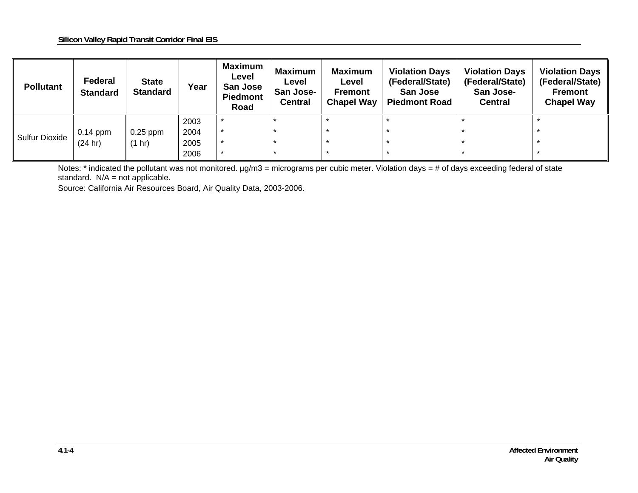| <b>Pollutant</b>      | Federal<br><b>Standard</b> | <b>State</b><br><b>Standard</b> | Year | <b>Maximum</b><br>Level<br>San Jose<br><b>Piedmont</b><br>Road | Maximum<br>Level<br>San Jose-<br><b>Central</b> | <b>Maximum</b><br>Level<br><b>Fremont</b><br><b>Chapel Way</b> | <b>Violation Days</b><br>(Federal/State)<br>San Jose<br><b>Piedmont Road</b> | <b>Violation Days</b><br>(Federal/State)<br>San Jose-<br><b>Central</b> | <b>Violation Days</b><br>(Federal/State)<br><b>Fremont</b><br><b>Chapel Way</b> |
|-----------------------|----------------------------|---------------------------------|------|----------------------------------------------------------------|-------------------------------------------------|----------------------------------------------------------------|------------------------------------------------------------------------------|-------------------------------------------------------------------------|---------------------------------------------------------------------------------|
| <b>Sulfur Dioxide</b> |                            |                                 | 2003 |                                                                |                                                 |                                                                |                                                                              |                                                                         |                                                                                 |
|                       | $0.14$ ppm                 | $0.25$ ppm                      | 2004 |                                                                |                                                 |                                                                |                                                                              |                                                                         |                                                                                 |
|                       | (24 hr)                    | (1 hr)                          | 2005 |                                                                |                                                 |                                                                |                                                                              |                                                                         |                                                                                 |
|                       |                            |                                 | 2006 |                                                                |                                                 |                                                                |                                                                              |                                                                         |                                                                                 |

Notes: \* indicated the pollutant was not monitored.  $\mu g/m3$  = micrograms per cubic meter. Violation days =  $\frac{1}{\mu}$  of days exceeding federal of state standard.  $N/A$  = not applicable.

Source: California Air Resources Board, Air Quality Data, 2003-2006.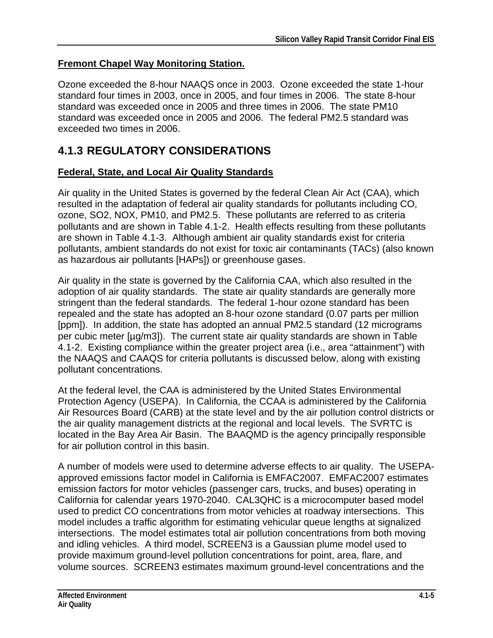### **Fremont Chapel Way Monitoring Station.**

Ozone exceeded the 8-hour NAAQS once in 2003. Ozone exceeded the state 1-hour standard four times in 2003, once in 2005, and four times in 2006. The state 8-hour standard was exceeded once in 2005 and three times in 2006. The state PM10 standard was exceeded once in 2005 and 2006. The federal PM2.5 standard was exceeded two times in 2006.

## **4.1.3 REGULATORY CONSIDERATIONS**

#### **Federal, State, and Local Air Quality Standards**

Air quality in the United States is governed by the federal Clean Air Act (CAA), which resulted in the adaptation of federal air quality standards for pollutants including CO, ozone, SO2, NOX, PM10, and PM2.5. These pollutants are referred to as criteria pollutants and are shown in Table 4.1-2. Health effects resulting from these pollutants are shown in Table 4.1-3. Although ambient air quality standards exist for criteria pollutants, ambient standards do not exist for toxic air contaminants (TACs) (also known as hazardous air pollutants [HAPs]) or greenhouse gases.

Air quality in the state is governed by the California CAA, which also resulted in the adoption of air quality standards. The state air quality standards are generally more stringent than the federal standards. The federal 1-hour ozone standard has been repealed and the state has adopted an 8-hour ozone standard (0.07 parts per million [ppm]). In addition, the state has adopted an annual PM2.5 standard (12 micrograms per cubic meter [µg/m3]). The current state air quality standards are shown in Table 4.1-2. Existing compliance within the greater project area (i.e., area "attainment") with the NAAQS and CAAQS for criteria pollutants is discussed below, along with existing pollutant concentrations.

At the federal level, the CAA is administered by the United States Environmental Protection Agency (USEPA). In California, the CCAA is administered by the California Air Resources Board (CARB) at the state level and by the air pollution control districts or the air quality management districts at the regional and local levels. The SVRTC is located in the Bay Area Air Basin. The BAAQMD is the agency principally responsible for air pollution control in this basin.

A number of models were used to determine adverse effects to air quality. The USEPAapproved emissions factor model in California is EMFAC2007. EMFAC2007 estimates emission factors for motor vehicles (passenger cars, trucks, and buses) operating in California for calendar years 1970-2040. CAL3QHC is a microcomputer based model used to predict CO concentrations from motor vehicles at roadway intersections. This model includes a traffic algorithm for estimating vehicular queue lengths at signalized intersections. The model estimates total air pollution concentrations from both moving and idling vehicles. A third model, SCREEN3 is a Gaussian plume model used to provide maximum ground-level pollution concentrations for point, area, flare, and volume sources. SCREEN3 estimates maximum ground-level concentrations and the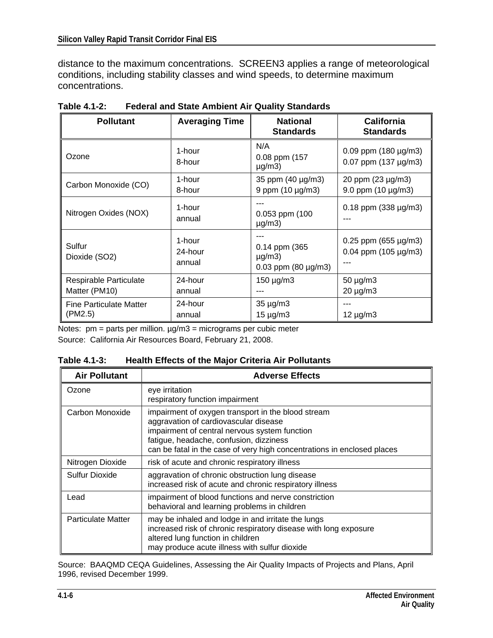distance to the maximum concentrations. SCREEN3 applies a range of meteorological conditions, including stability classes and wind speeds, to determine maximum concentrations.

| <b>Pollutant</b>                          | <b>Averaging Time</b><br><b>National</b><br><b>Standards</b> |                                                            | <b>California</b><br><b>Standards</b>               |  |
|-------------------------------------------|--------------------------------------------------------------|------------------------------------------------------------|-----------------------------------------------------|--|
| Ozone                                     | 1-hour<br>8-hour                                             | N/A<br>0.08 ppm (157<br>$\mu$ g/m3)                        | $0.09$ ppm (180 µg/m3)<br>0.07 ppm $(137 \mu g/m3)$ |  |
| Carbon Monoxide (CO)                      | 1-hour<br>8-hour                                             | 35 ppm (40 µg/m3)<br>9 ppm $(10 \mu g/m3)$                 | 20 ppm (23 µg/m3)<br>9.0 ppm $(10 \mu g/m3)$        |  |
| Nitrogen Oxides (NOX)                     | 1-hour<br>annual                                             | 0.053 ppm (100<br>$\mu$ g/m3)                              | $0.18$ ppm (338 $\mu$ g/m3)                         |  |
| Sulfur<br>Dioxide (SO2)                   | 1-hour<br>24-hour<br>annual                                  | 0.14 ppm (365<br>$\mu$ g/m3)<br>$0.03$ ppm (80 $\mu$ g/m3) | $0.25$ ppm (655 µg/m3)<br>$0.04$ ppm (105 µg/m3)    |  |
| Respirable Particulate<br>Matter (PM10)   | 24-hour<br>annual                                            | $150 \mu g/m3$                                             | 50 µg/m3<br>$20 \mu g/m3$                           |  |
| <b>Fine Particulate Matter</b><br>(PM2.5) | 24-hour<br>annual                                            | $35 \mu g/m3$<br>15 µg/m3                                  | $12 \mu g/m3$                                       |  |

**Table 4.1-2: Federal and State Ambient Air Quality Standards** 

Notes:  $pm =$  parts per million.  $\mu$ g/m3 = micrograms per cubic meter Source: California Air Resources Board, February 21, 2008.

| <b>Air Pollutant</b>      | <b>Adverse Effects</b>                                                                                                                                                                                                                                             |
|---------------------------|--------------------------------------------------------------------------------------------------------------------------------------------------------------------------------------------------------------------------------------------------------------------|
| Ozone                     | eye irritation<br>respiratory function impairment                                                                                                                                                                                                                  |
| Carbon Monoxide           | impairment of oxygen transport in the blood stream<br>aggravation of cardiovascular disease<br>impairment of central nervous system function<br>fatigue, headache, confusion, dizziness<br>can be fatal in the case of very high concentrations in enclosed places |
| Nitrogen Dioxide          | risk of acute and chronic respiratory illness                                                                                                                                                                                                                      |
| Sulfur Dioxide            | aggravation of chronic obstruction lung disease<br>increased risk of acute and chronic respiratory illness                                                                                                                                                         |
| Lead                      | impairment of blood functions and nerve constriction<br>behavioral and learning problems in children                                                                                                                                                               |
| <b>Particulate Matter</b> | may be inhaled and lodge in and irritate the lungs<br>increased risk of chronic respiratory disease with long exposure<br>altered lung function in children<br>may produce acute illness with sulfur dioxide                                                       |

Source: BAAQMD CEQA Guidelines, Assessing the Air Quality Impacts of Projects and Plans, April 1996, revised December 1999.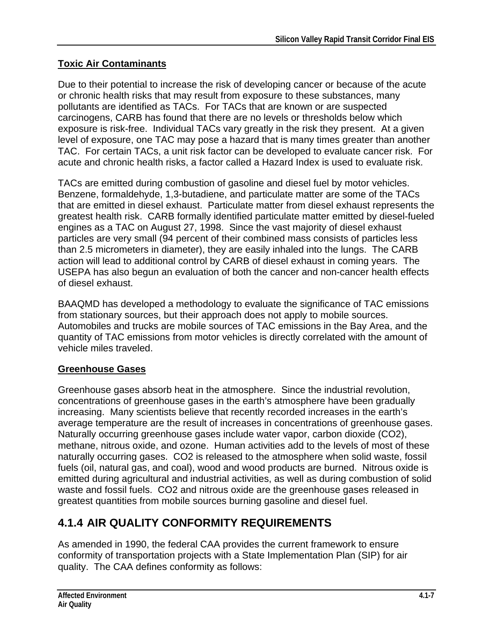### **Toxic Air Contaminants**

Due to their potential to increase the risk of developing cancer or because of the acute or chronic health risks that may result from exposure to these substances, many pollutants are identified as TACs. For TACs that are known or are suspected carcinogens, CARB has found that there are no levels or thresholds below which exposure is risk-free. Individual TACs vary greatly in the risk they present. At a given level of exposure, one TAC may pose a hazard that is many times greater than another TAC. For certain TACs, a unit risk factor can be developed to evaluate cancer risk. For acute and chronic health risks, a factor called a Hazard Index is used to evaluate risk.

TACs are emitted during combustion of gasoline and diesel fuel by motor vehicles. Benzene, formaldehyde, 1,3-butadiene, and particulate matter are some of the TACs that are emitted in diesel exhaust. Particulate matter from diesel exhaust represents the greatest health risk. CARB formally identified particulate matter emitted by diesel-fueled engines as a TAC on August 27, 1998. Since the vast majority of diesel exhaust particles are very small (94 percent of their combined mass consists of particles less than 2.5 micrometers in diameter), they are easily inhaled into the lungs. The CARB action will lead to additional control by CARB of diesel exhaust in coming years. The USEPA has also begun an evaluation of both the cancer and non-cancer health effects of diesel exhaust.

BAAQMD has developed a methodology to evaluate the significance of TAC emissions from stationary sources, but their approach does not apply to mobile sources. Automobiles and trucks are mobile sources of TAC emissions in the Bay Area, and the quantity of TAC emissions from motor vehicles is directly correlated with the amount of vehicle miles traveled.

### **Greenhouse Gases**

Greenhouse gases absorb heat in the atmosphere. Since the industrial revolution, concentrations of greenhouse gases in the earth's atmosphere have been gradually increasing. Many scientists believe that recently recorded increases in the earth's average temperature are the result of increases in concentrations of greenhouse gases. Naturally occurring greenhouse gases include water vapor, carbon dioxide (CO2), methane, nitrous oxide, and ozone. Human activities add to the levels of most of these naturally occurring gases. CO2 is released to the atmosphere when solid waste, fossil fuels (oil, natural gas, and coal), wood and wood products are burned. Nitrous oxide is emitted during agricultural and industrial activities, as well as during combustion of solid waste and fossil fuels. CO2 and nitrous oxide are the greenhouse gases released in greatest quantities from mobile sources burning gasoline and diesel fuel.

# **4.1.4 AIR QUALITY CONFORMITY REQUIREMENTS**

As amended in 1990, the federal CAA provides the current framework to ensure conformity of transportation projects with a State Implementation Plan (SIP) for air quality. The CAA defines conformity as follows: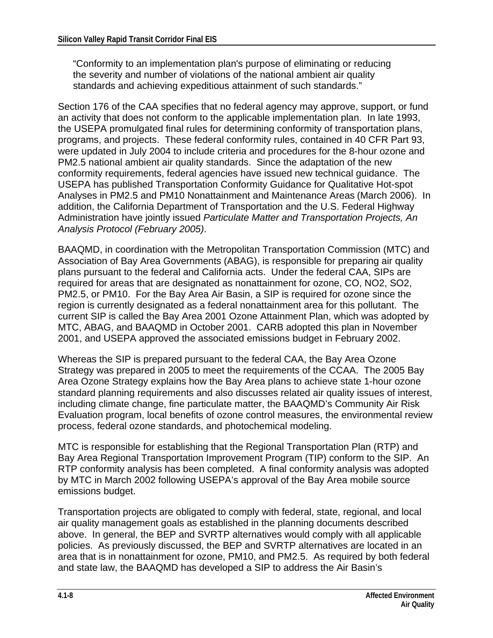"Conformity to an implementation plan's purpose of eliminating or reducing the severity and number of violations of the national ambient air quality standards and achieving expeditious attainment of such standards."

Section 176 of the CAA specifies that no federal agency may approve, support, or fund an activity that does not conform to the applicable implementation plan. In late 1993, the USEPA promulgated final rules for determining conformity of transportation plans, programs, and projects. These federal conformity rules, contained in 40 CFR Part 93, were updated in July 2004 to include criteria and procedures for the 8-hour ozone and PM2.5 national ambient air quality standards. Since the adaptation of the new conformity requirements, federal agencies have issued new technical guidance. The USEPA has published Transportation Conformity Guidance for Qualitative Hot-spot Analyses in PM2.5 and PM10 Nonattainment and Maintenance Areas (March 2006). In addition, the California Department of Transportation and the U.S. Federal Highway Administration have jointly issued *Particulate Matter and Transportation Projects, An Analysis Protocol (February 2005)*.

BAAQMD, in coordination with the Metropolitan Transportation Commission (MTC) and Association of Bay Area Governments (ABAG), is responsible for preparing air quality plans pursuant to the federal and California acts. Under the federal CAA, SIPs are required for areas that are designated as nonattainment for ozone, CO, NO2, SO2, PM2.5, or PM10. For the Bay Area Air Basin, a SIP is required for ozone since the region is currently designated as a federal nonattainment area for this pollutant. The current SIP is called the Bay Area 2001 Ozone Attainment Plan, which was adopted by MTC, ABAG, and BAAQMD in October 2001. CARB adopted this plan in November 2001, and USEPA approved the associated emissions budget in February 2002.

Whereas the SIP is prepared pursuant to the federal CAA, the Bay Area Ozone Strategy was prepared in 2005 to meet the requirements of the CCAA. The 2005 Bay Area Ozone Strategy explains how the Bay Area plans to achieve state 1-hour ozone standard planning requirements and also discusses related air quality issues of interest, including climate change, fine particulate matter, the BAAQMD's Community Air Risk Evaluation program, local benefits of ozone control measures, the environmental review process, federal ozone standards, and photochemical modeling.

MTC is responsible for establishing that the Regional Transportation Plan (RTP) and Bay Area Regional Transportation Improvement Program (TIP) conform to the SIP. An RTP conformity analysis has been completed. A final conformity analysis was adopted by MTC in March 2002 following USEPA's approval of the Bay Area mobile source emissions budget.

Transportation projects are obligated to comply with federal, state, regional, and local air quality management goals as established in the planning documents described above. In general, the BEP and SVRTP alternatives would comply with all applicable policies. As previously discussed, the BEP and SVRTP alternatives are located in an area that is in nonattainment for ozone, PM10, and PM2.5. As required by both federal and state law, the BAAQMD has developed a SIP to address the Air Basin's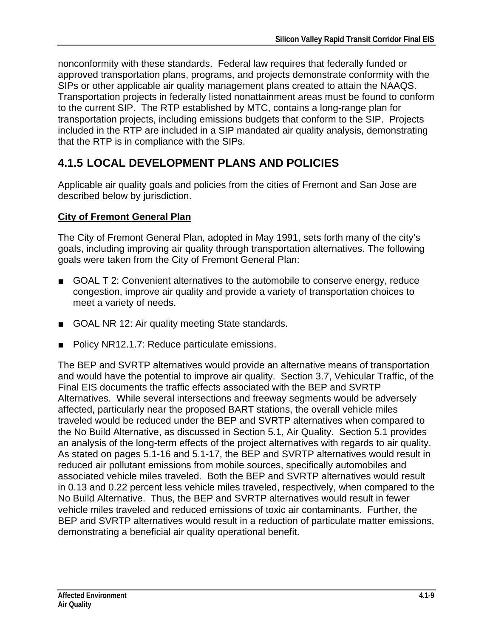nonconformity with these standards. Federal law requires that federally funded or approved transportation plans, programs, and projects demonstrate conformity with the SIPs or other applicable air quality management plans created to attain the NAAQS. Transportation projects in federally listed nonattainment areas must be found to conform to the current SIP. The RTP established by MTC, contains a long-range plan for transportation projects, including emissions budgets that conform to the SIP. Projects included in the RTP are included in a SIP mandated air quality analysis, demonstrating that the RTP is in compliance with the SIPs.

# **4.1.5 LOCAL DEVELOPMENT PLANS AND POLICIES**

Applicable air quality goals and policies from the cities of Fremont and San Jose are described below by jurisdiction.

### **City of Fremont General Plan**

The City of Fremont General Plan, adopted in May 1991, sets forth many of the city's goals, including improving air quality through transportation alternatives. The following goals were taken from the City of Fremont General Plan:

- GOAL T 2: Convenient alternatives to the automobile to conserve energy, reduce congestion, improve air quality and provide a variety of transportation choices to meet a variety of needs.
- GOAL NR 12: Air quality meeting State standards.
- Policy NR12.1.7: Reduce particulate emissions.

The BEP and SVRTP alternatives would provide an alternative means of transportation and would have the potential to improve air quality. Section 3.7, Vehicular Traffic, of the Final EIS documents the traffic effects associated with the BEP and SVRTP Alternatives. While several intersections and freeway segments would be adversely affected, particularly near the proposed BART stations, the overall vehicle miles traveled would be reduced under the BEP and SVRTP alternatives when compared to the No Build Alternative, as discussed in Section 5.1, Air Quality. Section 5.1 provides an analysis of the long-term effects of the project alternatives with regards to air quality. As stated on pages 5.1-16 and 5.1-17, the BEP and SVRTP alternatives would result in reduced air pollutant emissions from mobile sources, specifically automobiles and associated vehicle miles traveled. Both the BEP and SVRTP alternatives would result in 0.13 and 0.22 percent less vehicle miles traveled, respectively, when compared to the No Build Alternative. Thus, the BEP and SVRTP alternatives would result in fewer vehicle miles traveled and reduced emissions of toxic air contaminants. Further, the BEP and SVRTP alternatives would result in a reduction of particulate matter emissions, demonstrating a beneficial air quality operational benefit.